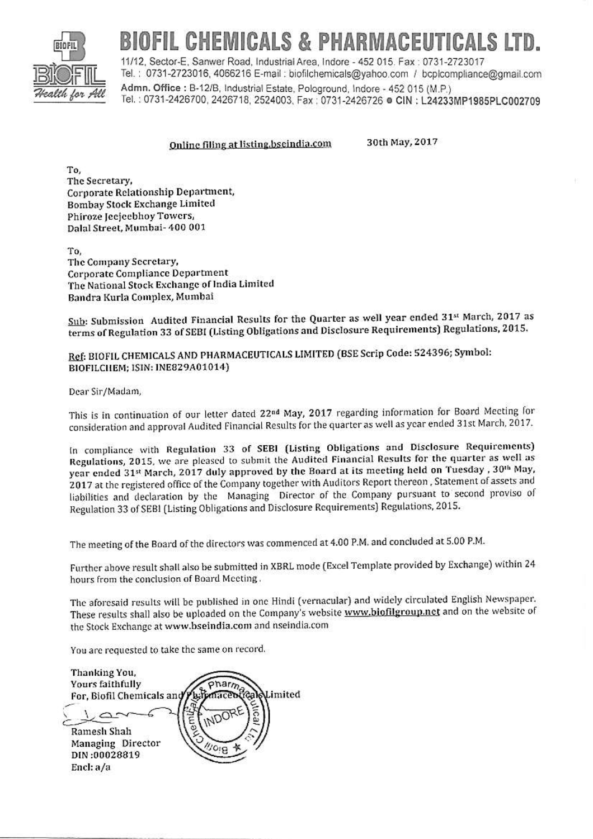

# IOFIL CHEMICALS & PHARMACEUTICALS LTD.

11/12. Sector-E. Sanwer Road, Industrial Area, Indore - 452 015. Fax: 0731-2723017 Tel.: 0731-2723016, 4066216 E-mail: biofilchemicals@yahoo.com / bcplcompliance@gmail.com Admn. Office: B-12/B, Industrial Estate, Pologround, Indore - 452 015 (M.P.) Tel.: 0731-2426700, 2426718, 2524003, Fax: 0731-2426726 @ CIN: L24233MP1985PLC002709

### Online filing at listing bseindia.com

30th May, 2017

To, The Secretary, Corporate Relationship Department, Bombay Stock Exchange Limited Phiroze Jecjeebhoy Towers, Dalal Street, Mumbai-400 001

To, The Company Secretary, Corporate Compliance Department The National Stock Exchange of India Limited Bandra Kurla Complex, Mumbai

Sub: Submission Audited Financial Results for the Quarter as well year ended 31<sup>st</sup> March, 2017 as terms of Regulation 33 of SEBI (Listing Obligations and Disclosure Requirements) Regulations, 2015.

Ref: BIOFIL CHEMICALS AND PHARMACEUTICALS LIMITED (BSE Scrip Code: 524396; Symbol: BIOFILCHEM: ISIN: INE829A01014)

Dear Sir/Madam,

This is in continuation of our letter dated 22<sup>nd</sup> May, 2017 regarding information for Board Meeting for consideration and approval Audited Financial Results for the quarter as well as year ended 31st March, 2017.

In compliance with Regulation 33 of SEBI (Listing Obligations and Disclosure Requirements) Regulations, 2015, we are pleased to submit the Audited Financial Results for the quarter as well as year ended 31st March, 2017 duly approved by the Board at its meeting held on Tuesday, 30th May, 2017 at the registered office of the Company together with Auditors Report thereon, Statement of assets and liabilities and declaration by the Managing Director of the Company pursuant to second proviso of Regulation 33 of SEBI (Listing Obligations and Disclosure Requirements) Regulations, 2015.

The meeting of the Board of the directors was commenced at 4.00 P.M. and concluded at 5.00 P.M.

Further above result shall also be submitted in XBRL mode (Excel Template provided by Exchange) within 24 hours from the conclusion of Board Meeting.

The aforesaid results will be published in one Hindi (vernacular) and widely circulated English Newspaper. These results shall also be uploaded on the Company's website www.biofilgroup.net and on the website of the Stock Exchange at www.bseindia.com and nseindia.com

You are requested to take the same on record.

Thanking You, Yours faithfully onarm Limited For, Biofil Chemicals and Ramesh Shah Managing Director DIN:00028819 Encl: a/a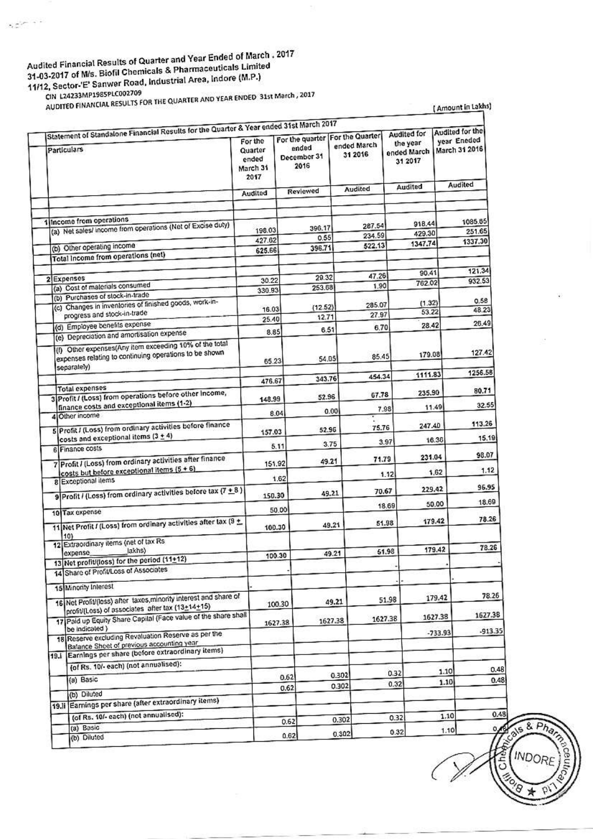## Audited Financial Results of Quarter and Year Ended of March . 2017 31-03-2017 of M/s. Biofil Chemicals & Pharmaceuticals Limited 11/12, Sector-'E' Sanwer Road, Industrial Area, Indore (M.P.)

 $\gamma \in \mathbb{R}^{n \times n \times n}$ 

CIN L24233MP1985PLC002709 AUDITED FINANCIAL RESULTS FOR THE QUARTER AND YEAR ENDED 31st March, 2017

(Amount in Lakhs)

|             | Statement of Standalone Financial Results for the Quarter & Year ended 31st March 2017                             |                                                 |                                                                   |         |                        | Audited for                        | Audited for the                         |                   |
|-------------|--------------------------------------------------------------------------------------------------------------------|-------------------------------------------------|-------------------------------------------------------------------|---------|------------------------|------------------------------------|-----------------------------------------|-------------------|
| Particulars |                                                                                                                    | For the<br>Quarter<br>ended<br>March 31<br>2017 | For the quarter   For the Quarter<br>ended<br>December 31<br>2016 |         | ended March<br>31 2016 | the year<br>ended March<br>31 2017 | year Eneded<br>March 31 2016<br>Audited |                   |
|             |                                                                                                                    | Audited                                         | Reviewed                                                          |         | <b>Audited</b>         | Audited                            |                                         |                   |
|             |                                                                                                                    |                                                 |                                                                   |         |                        |                                    |                                         |                   |
|             | 1 Income from operations<br>(a) Net sales/ income from operations (Nat of Excise duty)                             |                                                 |                                                                   | 396.17  | 287.54                 | 918.44                             |                                         | 1085.65           |
|             |                                                                                                                    | 198.03<br>427.62                                |                                                                   | 0.55    | 234.59                 | 429.30                             |                                         | 251.65<br>1337.30 |
|             | (b) Other operating income                                                                                         | 625.66                                          |                                                                   | 396.71  | 522.13                 | 1347.74                            |                                         |                   |
|             | Total Income from operations (net)                                                                                 |                                                 |                                                                   |         |                        |                                    |                                         |                   |
|             | 2 Expenses                                                                                                         | 30.22                                           |                                                                   | 29.32   | 47.26                  | 90.41                              |                                         | 121.34<br>932.53  |
|             | (a) Cost of materials consumed                                                                                     | 330.93                                          |                                                                   | 253.68  | 1.90                   | 762.02                             |                                         |                   |
|             | (b) Purchases of stock-in-trade<br>(c) Changes in inventories of finished goods, work-in-                          |                                                 |                                                                   |         |                        | (1.32)                             |                                         | 0.58              |
|             | progress and stock-in-trade                                                                                        | 16.03                                           |                                                                   | (12.52) | 285.07<br>27.97        | 53.22                              |                                         | 48.23             |
|             | (d) Employee benefits expense                                                                                      | 25.40                                           |                                                                   | 12.71   |                        | 28.42                              |                                         | 26.49             |
|             | (e) Depreciation and amortisation expense                                                                          | 8.85                                            |                                                                   | 6.51    | 6.70                   |                                    |                                         |                   |
|             | (f) Other expenses(Any item exceeding 10% of the total<br>expenses relating to continuing operations to be shown   | 65.23                                           |                                                                   | 54.05   | 85.45                  | 179.08                             |                                         | 127.42            |
|             | separately)                                                                                                        |                                                 |                                                                   |         | 454.34                 | 1111.83                            |                                         | 1256.58           |
|             | <b>Total expenses</b>                                                                                              | 476.67                                          |                                                                   | 343.76  |                        |                                    |                                         |                   |
|             | 3 Profit / (Loss) from operations before other income,                                                             | 148.99                                          |                                                                   | 52.96   | 67.78                  | 235.90                             |                                         | 80.71             |
|             | finance costs and exceptional items (1-2)<br>4 Other income                                                        | 8.04                                            |                                                                   | 0.00    | 7.98                   |                                    | 11.49                                   | 32.55             |
|             | 5 Profit / (Loss) from ordinary activities before finance                                                          |                                                 |                                                                   | 52.96   | 75.76                  | 247.40                             |                                         | 113.26            |
|             | costs and exceptional items $(3 + 4)$                                                                              | 157.03                                          |                                                                   |         | 3.97                   |                                    | 16.36                                   | 15,19             |
|             | 6 Finance costs                                                                                                    |                                                 | 5.11                                                              | 3.75    |                        |                                    |                                         | 98.07             |
|             | 7 Profit / (Loss) from ordinary activities after finance                                                           | 151.92                                          |                                                                   | 49.21   | 71.79                  | 231.04                             |                                         |                   |
|             | costs but before exceptional items (5 + 6)<br>8 Exceptional items                                                  |                                                 | 1.62                                                              |         |                        | 1.12                               | 1,62                                    | 1.12              |
|             | 9 Profit / (Loss) from ordinary activities before tax $(7 + 8)$                                                    | 150.30                                          |                                                                   | 49.21   | 70.67                  | 229.42                             |                                         | 96.95             |
|             |                                                                                                                    |                                                 | 50.00                                                             |         |                        | 18.69                              | 50.00                                   | 18.69             |
|             | 10 Tax expense<br>11 Net Profit / (Loss) from ordinary activities after lax (9 ±                                   | 100.30                                          |                                                                   | 49.21   | 51.98                  |                                    | 179.42                                  | 78.26             |
|             | 10 <sub>l</sub><br>12 Extraordinary items (net of tax Rs                                                           |                                                 |                                                                   |         |                        |                                    |                                         |                   |
|             | lakhs)<br>expense                                                                                                  | 100.30                                          |                                                                   | 49.21   | 51.98                  |                                    | 179.42                                  | 78.26             |
|             | 13 Net profit/(loss) for the period (11+12)<br>14 Share of Profit/Loss of Associates                               |                                                 |                                                                   |         |                        |                                    |                                         |                   |
|             |                                                                                                                    |                                                 |                                                                   |         |                        |                                    |                                         |                   |
|             | 15 Minority Interest<br>16 Net Profit/(loss) after taxes, minority interest and share of                           |                                                 | 100.30                                                            | 49.21   |                        | 51.98                              | 179.42                                  | 78.26             |
|             | profit/(Loss) of associates after tax (13+14+15)<br>17 Paid up Equity Share Capital (Face value of the share shall |                                                 | 1627.38                                                           | 1627.38 | 1627.38                |                                    | 1627.38                                 | 1627.38           |
|             | be indicated )<br>18 Reserve excluding Revaluation Reserve as per the                                              |                                                 |                                                                   |         |                        |                                    | $-733.93$                               | -913.35           |
|             | Balance Sheet of previous accounting year<br>19.1 Earnings per share (before extraordinary items)                  |                                                 |                                                                   |         |                        |                                    |                                         |                   |
|             | (of Rs. 10/- each) (not annualised):                                                                               |                                                 |                                                                   |         |                        |                                    |                                         |                   |
|             | (a) Basic                                                                                                          |                                                 | 0.62                                                              |         | 0.302                  | 0.32                               | 1.10<br>1.10                            |                   |
|             | (b) Diluted                                                                                                        |                                                 | 0.62                                                              |         | 0.302                  | 0.32                               |                                         |                   |
|             | 19. Il Earnings per share (after extraordinary items)                                                              |                                                 |                                                                   |         |                        |                                    |                                         |                   |
|             | (of Rs. 10/- each) (not annualised):                                                                               |                                                 |                                                                   |         | 0.302                  | 0.32                               | 1.10                                    |                   |
|             | (a) Basic                                                                                                          |                                                 | 0.62                                                              |         |                        |                                    | 1.10                                    |                   |

Chad

 $8F$ Ġ

**INDO**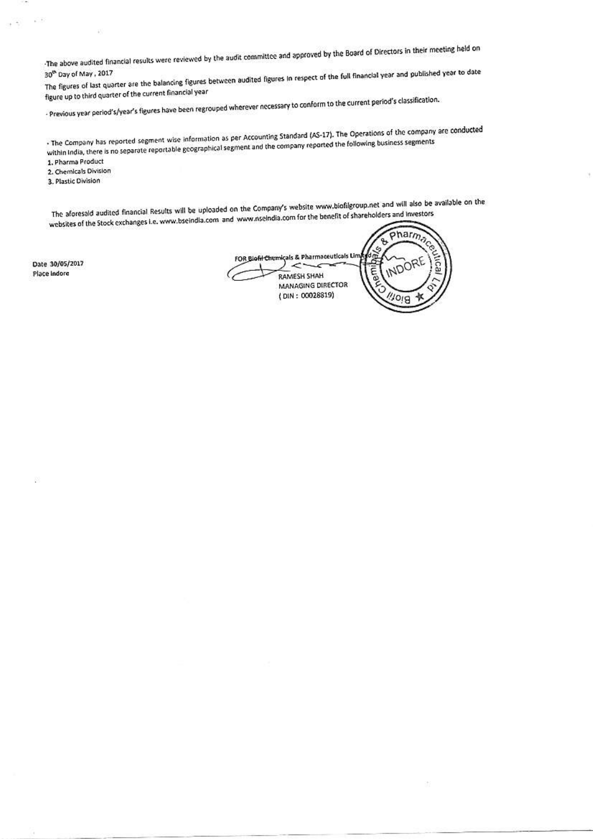The above audited financial results were reviewed by the audit committee and approved by the Board of Directors in their meeting held on

The figures of last quarter are the balancing figures between audited figures in respect of the full financial year and published year to date figure up to third quarter of the current financial year

- Previous year period's/year's figures have been regrouped wherever necessary to conform to the current period's classification.

. The Company has reported segment wise information as per Accounting Standard (AS-17). The Operations of the company are conducted within India, there is no separate reportable geographical segment and the company reported the following business segments

1. Pharma Product

2. Chemicals Division

3. Plastic Division

 $\sim$ 

The aforesald audited financial Results will be uploaded on the Company's website www.biofilgroup.net and will also be available on the websites of the Stock exchanges i.e. www.bseindla.com and www.nseindia.com for the benefit of shareholders and investors

Date 30/05/2017 Place Indore

pharm. ↬ c, FOR Biofil Chemiçals & Pharmaceuticals Lin аı **RAMESH SHAH MANAGING DIRECTOR** (DIN: 00028819)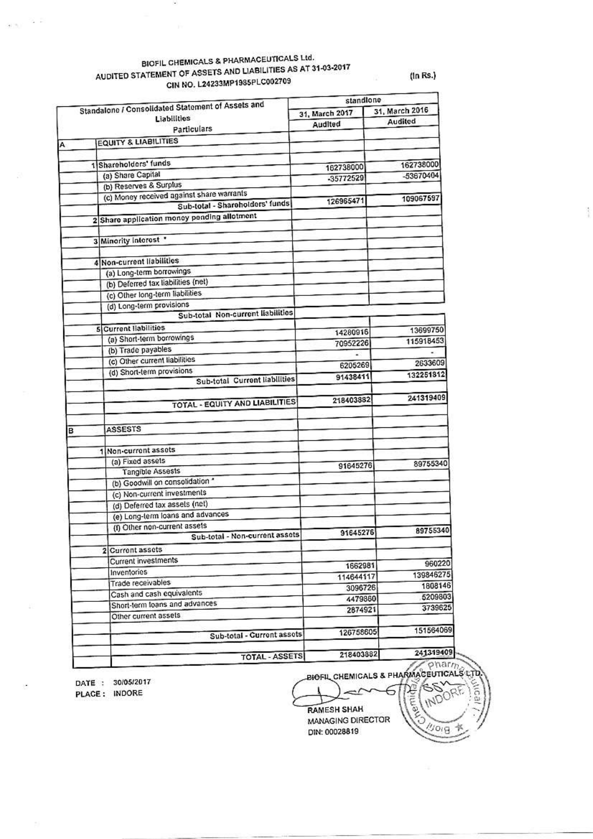#### BIOFIL CHEMICALS & PHARMACEUTICALS Ltd. AUDITED STATEMENT OF ASSETS AND LIABILITIES AS AT 31-03-2017 CIN NO. L24233MP1985PLC002709 費

 $\pm1$   $\%$ 

(In Rs.)

|   | Standalone / Consolidated Statement of Assets and | standlone      |                |  |  |
|---|---------------------------------------------------|----------------|----------------|--|--|
|   | Liabilities                                       | 31, March 2017 | 31, March 2016 |  |  |
|   | Particulars                                       | Audited        | Audited        |  |  |
|   | <b>EQUITY &amp; LIABILITIES</b>                   |                |                |  |  |
|   |                                                   |                |                |  |  |
|   | 1 Shareholders' funds                             |                | 162738000      |  |  |
|   | (a) Share Capital                                 | 162738000      | -53670404      |  |  |
|   | (b) Reserves & Surplus                            | -35772529      |                |  |  |
|   | (c) Money received against share warrants         |                |                |  |  |
|   | Sub-total - Sharoholders' funds                   | 126965471      | 109067597      |  |  |
|   | 2 Share application money pending allotment       |                |                |  |  |
|   |                                                   |                |                |  |  |
|   | 3 Minority interest                               |                |                |  |  |
|   |                                                   |                |                |  |  |
|   | 4 Non-current liabilities                         |                |                |  |  |
|   | (a) Long-term borrowings                          |                |                |  |  |
|   | (b) Deferred tax liabilities (net)                |                |                |  |  |
|   | (c) Other long-term liabilities                   |                |                |  |  |
|   | (d) Long-term provisions                          |                |                |  |  |
|   | Sub-total Non-current liabilities                 |                |                |  |  |
|   | 5 Current liabilities                             |                | 13699750       |  |  |
|   | (a) Short-term borrowings                         | 14280916       | 115918453      |  |  |
|   | (b) Trade payables                                | 70952226       |                |  |  |
|   | (c) Other current liabilities                     |                | 2633609        |  |  |
|   | (d) Short-term provisions                         | 6205269        |                |  |  |
|   | Sub-total Current liabilities                     | 91438411       | 132251812      |  |  |
|   |                                                   |                |                |  |  |
|   | TOTAL - EQUITY AND LIABILITIES                    | 218403882      | 241319409      |  |  |
|   |                                                   |                |                |  |  |
| в | <b>ASSESTS</b>                                    |                |                |  |  |
|   |                                                   |                |                |  |  |
|   | Non-current assets<br>1                           |                |                |  |  |
|   | (a) Fixed assets                                  |                | 89755340       |  |  |
|   | Tangible Assests                                  | 91645276       |                |  |  |
|   | (b) Goodwill on consolidation *                   |                |                |  |  |
|   | (c) Non-current investments                       |                |                |  |  |
|   | (d) Deferred tax assets (net)                     |                |                |  |  |
|   | (e) Long-term loans and advances                  |                |                |  |  |
|   | (f) Other non-current assets                      |                |                |  |  |
|   | Sub-total - Non-current assets                    | 91645276       | 89755340       |  |  |
|   | 2 Current assets                                  |                |                |  |  |
|   | Current investments                               |                | 960220         |  |  |
|   | Inventories                                       | 1662981        |                |  |  |
|   | Trade receivables                                 | 114644117      | 139846275      |  |  |
|   | Cash and cash equivalents                         | 3096726        | 1808146        |  |  |
|   | Short-term loans and advances                     | 4479860        | 5209803        |  |  |
|   | Other current assets                              | 2874921        | 3739625        |  |  |
|   |                                                   |                |                |  |  |
|   | Sub-total - Current assets                        | 126758605      | 151564069      |  |  |
|   | <b>TOTAL - ASSETS</b>                             | 218403882      | 241319409      |  |  |

DATE: 30/05/2017 PLACE: INDORE

**Kemidal** 

o<sub>'</sub>g

**RAMESH SHAH** MANAGING DIRECTOR DIN: 00028819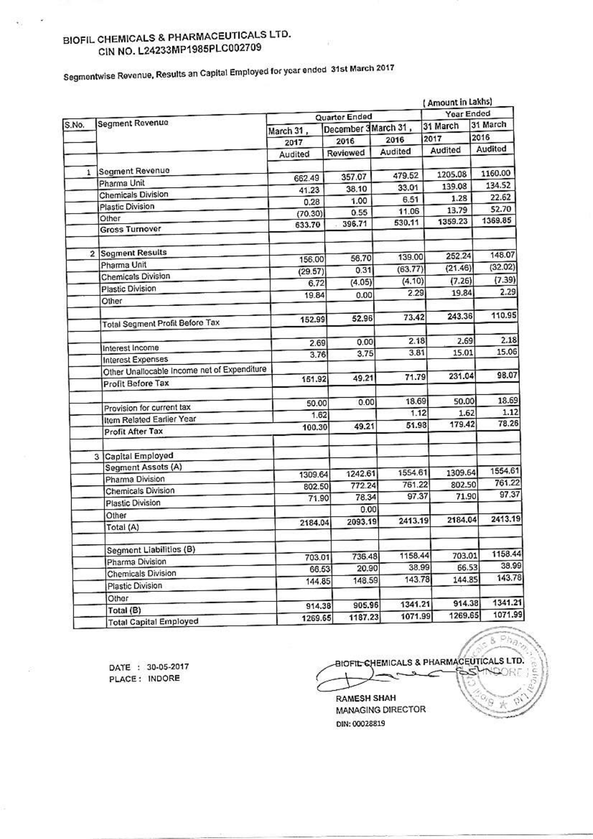## BIOFIL CHEMICALS & PHARMACEUTICALS LTD. CIN NO. L24233MP1985PLC002709

Segmentwise Revenue, Results an Capital Employed for year ended 31st March 2017

| Year Ended<br>Quarter Ended<br>Segment Revenue<br>31 March<br>31 March<br>December 3March 31,<br>March 31,<br>2016<br>2017<br>2016<br>2016<br>2017<br>Audited<br>Audited<br>Audited<br>Reviewed<br>Audited<br>Segment Revenue<br>1.<br>1160.00<br>1205.08<br>479.52<br>357.07<br>662.49<br>Pharma Unit<br>134.52<br>139.08<br>33.01<br>38.10<br>41.23<br>Chemicals Division<br>22.62<br>1.28<br>6.51<br>1.00<br>0.28<br>Plastic Division<br>52.70<br>13.79<br>11.06<br>0.55<br>(70.30)<br>Other<br>1369.85<br>1359.23<br>530.11<br>396.71<br>633.70<br><b>Gross Turnover</b><br><b>Segment Results</b><br>$\overline{2}$<br>148.07<br>252.24<br>139.00<br>56.70<br>156.00<br>Pharma Unit<br>(32.02)<br>(21.46)<br>(63.77)<br>0.31<br>(29.57)<br>Chemicals Division<br>(7.39)<br>(4.10)<br>(7.26)<br>(4.05)<br>6.72<br>Plastic Division<br>2.29<br>2.29<br>19.84<br>19.84<br>0.00<br>Other<br>243.36<br>73.42<br>52.96<br>152.99<br><b>Total Segment Profit Before Tax</b><br>2.18<br>2.69<br>0.00<br>2.69<br>Interest Income<br>15.06<br>15.01<br>3.81<br>3.75<br>3.76<br>Interest Expenses<br>Other Unallocable Income net of Expenditure<br>98.07<br>231.04<br>71.79<br>49.21<br>151.92<br>Profit Before Tax<br>18.69<br>50.00<br>0.00<br>50.00<br>Provision for current tax<br>1.12<br>1.62<br>1.62<br>Item Related Earlier Year<br>179.42<br>51.98<br>49.21<br>100.30<br>Profit After Tax<br>3 Capital Employed<br>Segment Assets (A)<br>1554.61<br>1554.61<br>1309.64<br>1242.61<br>1309.64<br>Pharma Division<br>761.22<br>761.22<br>802.50<br>772.24<br>802.50<br>Chemicals Division<br>97.37<br>97.37<br>71.90<br>78.34<br>71.90<br>Plastic Division<br>0.00<br>Other<br>2413.19<br>2184.04<br>2413.19<br>2093.19<br>2184.04<br>Total (A)<br>Segment Liabilities (B)<br>1158.44<br>1158.44<br>703.01<br>736.48<br>703.01<br>Pharma Division<br>38.99<br>38.99<br>66.53<br>20.90<br>66.53<br>Chemicals Division<br>143.78<br>143.78<br>144.85<br>148.59<br>144.85<br>Plastic Division<br>Other<br>914.38<br>1341.21<br>905.96<br>914.38<br>Total (B)<br>1071.9<br>1269.65<br>1071.99<br>1187.23<br>1269.65<br><b>Total Capital Employed</b> |       |  |  | (Amount in Lakhs) |  |        |  |
|----------------------------------------------------------------------------------------------------------------------------------------------------------------------------------------------------------------------------------------------------------------------------------------------------------------------------------------------------------------------------------------------------------------------------------------------------------------------------------------------------------------------------------------------------------------------------------------------------------------------------------------------------------------------------------------------------------------------------------------------------------------------------------------------------------------------------------------------------------------------------------------------------------------------------------------------------------------------------------------------------------------------------------------------------------------------------------------------------------------------------------------------------------------------------------------------------------------------------------------------------------------------------------------------------------------------------------------------------------------------------------------------------------------------------------------------------------------------------------------------------------------------------------------------------------------------------------------------------------------------------------------------------------------------------------------------------------------------------------------------------------------------------------------------------------------------------------------------------------------------------------------------------------------------------------------------------------------------------------------------------------------------------------------------------------------------------------------------------------------------------------------------------|-------|--|--|-------------------|--|--------|--|
|                                                                                                                                                                                                                                                                                                                                                                                                                                                                                                                                                                                                                                                                                                                                                                                                                                                                                                                                                                                                                                                                                                                                                                                                                                                                                                                                                                                                                                                                                                                                                                                                                                                                                                                                                                                                                                                                                                                                                                                                                                                                                                                                                    | S.No. |  |  |                   |  |        |  |
|                                                                                                                                                                                                                                                                                                                                                                                                                                                                                                                                                                                                                                                                                                                                                                                                                                                                                                                                                                                                                                                                                                                                                                                                                                                                                                                                                                                                                                                                                                                                                                                                                                                                                                                                                                                                                                                                                                                                                                                                                                                                                                                                                    |       |  |  |                   |  |        |  |
|                                                                                                                                                                                                                                                                                                                                                                                                                                                                                                                                                                                                                                                                                                                                                                                                                                                                                                                                                                                                                                                                                                                                                                                                                                                                                                                                                                                                                                                                                                                                                                                                                                                                                                                                                                                                                                                                                                                                                                                                                                                                                                                                                    |       |  |  |                   |  |        |  |
|                                                                                                                                                                                                                                                                                                                                                                                                                                                                                                                                                                                                                                                                                                                                                                                                                                                                                                                                                                                                                                                                                                                                                                                                                                                                                                                                                                                                                                                                                                                                                                                                                                                                                                                                                                                                                                                                                                                                                                                                                                                                                                                                                    |       |  |  |                   |  |        |  |
|                                                                                                                                                                                                                                                                                                                                                                                                                                                                                                                                                                                                                                                                                                                                                                                                                                                                                                                                                                                                                                                                                                                                                                                                                                                                                                                                                                                                                                                                                                                                                                                                                                                                                                                                                                                                                                                                                                                                                                                                                                                                                                                                                    |       |  |  |                   |  |        |  |
|                                                                                                                                                                                                                                                                                                                                                                                                                                                                                                                                                                                                                                                                                                                                                                                                                                                                                                                                                                                                                                                                                                                                                                                                                                                                                                                                                                                                                                                                                                                                                                                                                                                                                                                                                                                                                                                                                                                                                                                                                                                                                                                                                    |       |  |  |                   |  |        |  |
|                                                                                                                                                                                                                                                                                                                                                                                                                                                                                                                                                                                                                                                                                                                                                                                                                                                                                                                                                                                                                                                                                                                                                                                                                                                                                                                                                                                                                                                                                                                                                                                                                                                                                                                                                                                                                                                                                                                                                                                                                                                                                                                                                    |       |  |  |                   |  |        |  |
|                                                                                                                                                                                                                                                                                                                                                                                                                                                                                                                                                                                                                                                                                                                                                                                                                                                                                                                                                                                                                                                                                                                                                                                                                                                                                                                                                                                                                                                                                                                                                                                                                                                                                                                                                                                                                                                                                                                                                                                                                                                                                                                                                    |       |  |  |                   |  |        |  |
|                                                                                                                                                                                                                                                                                                                                                                                                                                                                                                                                                                                                                                                                                                                                                                                                                                                                                                                                                                                                                                                                                                                                                                                                                                                                                                                                                                                                                                                                                                                                                                                                                                                                                                                                                                                                                                                                                                                                                                                                                                                                                                                                                    |       |  |  |                   |  |        |  |
|                                                                                                                                                                                                                                                                                                                                                                                                                                                                                                                                                                                                                                                                                                                                                                                                                                                                                                                                                                                                                                                                                                                                                                                                                                                                                                                                                                                                                                                                                                                                                                                                                                                                                                                                                                                                                                                                                                                                                                                                                                                                                                                                                    |       |  |  |                   |  |        |  |
|                                                                                                                                                                                                                                                                                                                                                                                                                                                                                                                                                                                                                                                                                                                                                                                                                                                                                                                                                                                                                                                                                                                                                                                                                                                                                                                                                                                                                                                                                                                                                                                                                                                                                                                                                                                                                                                                                                                                                                                                                                                                                                                                                    |       |  |  |                   |  |        |  |
|                                                                                                                                                                                                                                                                                                                                                                                                                                                                                                                                                                                                                                                                                                                                                                                                                                                                                                                                                                                                                                                                                                                                                                                                                                                                                                                                                                                                                                                                                                                                                                                                                                                                                                                                                                                                                                                                                                                                                                                                                                                                                                                                                    |       |  |  |                   |  |        |  |
|                                                                                                                                                                                                                                                                                                                                                                                                                                                                                                                                                                                                                                                                                                                                                                                                                                                                                                                                                                                                                                                                                                                                                                                                                                                                                                                                                                                                                                                                                                                                                                                                                                                                                                                                                                                                                                                                                                                                                                                                                                                                                                                                                    |       |  |  |                   |  |        |  |
|                                                                                                                                                                                                                                                                                                                                                                                                                                                                                                                                                                                                                                                                                                                                                                                                                                                                                                                                                                                                                                                                                                                                                                                                                                                                                                                                                                                                                                                                                                                                                                                                                                                                                                                                                                                                                                                                                                                                                                                                                                                                                                                                                    |       |  |  |                   |  |        |  |
|                                                                                                                                                                                                                                                                                                                                                                                                                                                                                                                                                                                                                                                                                                                                                                                                                                                                                                                                                                                                                                                                                                                                                                                                                                                                                                                                                                                                                                                                                                                                                                                                                                                                                                                                                                                                                                                                                                                                                                                                                                                                                                                                                    |       |  |  |                   |  |        |  |
|                                                                                                                                                                                                                                                                                                                                                                                                                                                                                                                                                                                                                                                                                                                                                                                                                                                                                                                                                                                                                                                                                                                                                                                                                                                                                                                                                                                                                                                                                                                                                                                                                                                                                                                                                                                                                                                                                                                                                                                                                                                                                                                                                    |       |  |  |                   |  |        |  |
|                                                                                                                                                                                                                                                                                                                                                                                                                                                                                                                                                                                                                                                                                                                                                                                                                                                                                                                                                                                                                                                                                                                                                                                                                                                                                                                                                                                                                                                                                                                                                                                                                                                                                                                                                                                                                                                                                                                                                                                                                                                                                                                                                    |       |  |  |                   |  | 110.95 |  |
|                                                                                                                                                                                                                                                                                                                                                                                                                                                                                                                                                                                                                                                                                                                                                                                                                                                                                                                                                                                                                                                                                                                                                                                                                                                                                                                                                                                                                                                                                                                                                                                                                                                                                                                                                                                                                                                                                                                                                                                                                                                                                                                                                    |       |  |  |                   |  |        |  |
|                                                                                                                                                                                                                                                                                                                                                                                                                                                                                                                                                                                                                                                                                                                                                                                                                                                                                                                                                                                                                                                                                                                                                                                                                                                                                                                                                                                                                                                                                                                                                                                                                                                                                                                                                                                                                                                                                                                                                                                                                                                                                                                                                    |       |  |  |                   |  | 2.18   |  |
|                                                                                                                                                                                                                                                                                                                                                                                                                                                                                                                                                                                                                                                                                                                                                                                                                                                                                                                                                                                                                                                                                                                                                                                                                                                                                                                                                                                                                                                                                                                                                                                                                                                                                                                                                                                                                                                                                                                                                                                                                                                                                                                                                    |       |  |  |                   |  |        |  |
|                                                                                                                                                                                                                                                                                                                                                                                                                                                                                                                                                                                                                                                                                                                                                                                                                                                                                                                                                                                                                                                                                                                                                                                                                                                                                                                                                                                                                                                                                                                                                                                                                                                                                                                                                                                                                                                                                                                                                                                                                                                                                                                                                    |       |  |  |                   |  |        |  |
|                                                                                                                                                                                                                                                                                                                                                                                                                                                                                                                                                                                                                                                                                                                                                                                                                                                                                                                                                                                                                                                                                                                                                                                                                                                                                                                                                                                                                                                                                                                                                                                                                                                                                                                                                                                                                                                                                                                                                                                                                                                                                                                                                    |       |  |  |                   |  |        |  |
|                                                                                                                                                                                                                                                                                                                                                                                                                                                                                                                                                                                                                                                                                                                                                                                                                                                                                                                                                                                                                                                                                                                                                                                                                                                                                                                                                                                                                                                                                                                                                                                                                                                                                                                                                                                                                                                                                                                                                                                                                                                                                                                                                    |       |  |  |                   |  | 18.69  |  |
|                                                                                                                                                                                                                                                                                                                                                                                                                                                                                                                                                                                                                                                                                                                                                                                                                                                                                                                                                                                                                                                                                                                                                                                                                                                                                                                                                                                                                                                                                                                                                                                                                                                                                                                                                                                                                                                                                                                                                                                                                                                                                                                                                    |       |  |  |                   |  | 1.12   |  |
|                                                                                                                                                                                                                                                                                                                                                                                                                                                                                                                                                                                                                                                                                                                                                                                                                                                                                                                                                                                                                                                                                                                                                                                                                                                                                                                                                                                                                                                                                                                                                                                                                                                                                                                                                                                                                                                                                                                                                                                                                                                                                                                                                    |       |  |  |                   |  | 78.26  |  |
|                                                                                                                                                                                                                                                                                                                                                                                                                                                                                                                                                                                                                                                                                                                                                                                                                                                                                                                                                                                                                                                                                                                                                                                                                                                                                                                                                                                                                                                                                                                                                                                                                                                                                                                                                                                                                                                                                                                                                                                                                                                                                                                                                    |       |  |  |                   |  |        |  |
|                                                                                                                                                                                                                                                                                                                                                                                                                                                                                                                                                                                                                                                                                                                                                                                                                                                                                                                                                                                                                                                                                                                                                                                                                                                                                                                                                                                                                                                                                                                                                                                                                                                                                                                                                                                                                                                                                                                                                                                                                                                                                                                                                    |       |  |  |                   |  |        |  |
|                                                                                                                                                                                                                                                                                                                                                                                                                                                                                                                                                                                                                                                                                                                                                                                                                                                                                                                                                                                                                                                                                                                                                                                                                                                                                                                                                                                                                                                                                                                                                                                                                                                                                                                                                                                                                                                                                                                                                                                                                                                                                                                                                    |       |  |  |                   |  |        |  |
|                                                                                                                                                                                                                                                                                                                                                                                                                                                                                                                                                                                                                                                                                                                                                                                                                                                                                                                                                                                                                                                                                                                                                                                                                                                                                                                                                                                                                                                                                                                                                                                                                                                                                                                                                                                                                                                                                                                                                                                                                                                                                                                                                    |       |  |  |                   |  |        |  |
|                                                                                                                                                                                                                                                                                                                                                                                                                                                                                                                                                                                                                                                                                                                                                                                                                                                                                                                                                                                                                                                                                                                                                                                                                                                                                                                                                                                                                                                                                                                                                                                                                                                                                                                                                                                                                                                                                                                                                                                                                                                                                                                                                    |       |  |  |                   |  |        |  |
|                                                                                                                                                                                                                                                                                                                                                                                                                                                                                                                                                                                                                                                                                                                                                                                                                                                                                                                                                                                                                                                                                                                                                                                                                                                                                                                                                                                                                                                                                                                                                                                                                                                                                                                                                                                                                                                                                                                                                                                                                                                                                                                                                    |       |  |  |                   |  |        |  |
|                                                                                                                                                                                                                                                                                                                                                                                                                                                                                                                                                                                                                                                                                                                                                                                                                                                                                                                                                                                                                                                                                                                                                                                                                                                                                                                                                                                                                                                                                                                                                                                                                                                                                                                                                                                                                                                                                                                                                                                                                                                                                                                                                    |       |  |  |                   |  |        |  |
|                                                                                                                                                                                                                                                                                                                                                                                                                                                                                                                                                                                                                                                                                                                                                                                                                                                                                                                                                                                                                                                                                                                                                                                                                                                                                                                                                                                                                                                                                                                                                                                                                                                                                                                                                                                                                                                                                                                                                                                                                                                                                                                                                    |       |  |  |                   |  |        |  |
|                                                                                                                                                                                                                                                                                                                                                                                                                                                                                                                                                                                                                                                                                                                                                                                                                                                                                                                                                                                                                                                                                                                                                                                                                                                                                                                                                                                                                                                                                                                                                                                                                                                                                                                                                                                                                                                                                                                                                                                                                                                                                                                                                    |       |  |  |                   |  |        |  |
|                                                                                                                                                                                                                                                                                                                                                                                                                                                                                                                                                                                                                                                                                                                                                                                                                                                                                                                                                                                                                                                                                                                                                                                                                                                                                                                                                                                                                                                                                                                                                                                                                                                                                                                                                                                                                                                                                                                                                                                                                                                                                                                                                    |       |  |  |                   |  |        |  |
|                                                                                                                                                                                                                                                                                                                                                                                                                                                                                                                                                                                                                                                                                                                                                                                                                                                                                                                                                                                                                                                                                                                                                                                                                                                                                                                                                                                                                                                                                                                                                                                                                                                                                                                                                                                                                                                                                                                                                                                                                                                                                                                                                    |       |  |  |                   |  |        |  |
|                                                                                                                                                                                                                                                                                                                                                                                                                                                                                                                                                                                                                                                                                                                                                                                                                                                                                                                                                                                                                                                                                                                                                                                                                                                                                                                                                                                                                                                                                                                                                                                                                                                                                                                                                                                                                                                                                                                                                                                                                                                                                                                                                    |       |  |  |                   |  |        |  |
|                                                                                                                                                                                                                                                                                                                                                                                                                                                                                                                                                                                                                                                                                                                                                                                                                                                                                                                                                                                                                                                                                                                                                                                                                                                                                                                                                                                                                                                                                                                                                                                                                                                                                                                                                                                                                                                                                                                                                                                                                                                                                                                                                    |       |  |  |                   |  |        |  |
|                                                                                                                                                                                                                                                                                                                                                                                                                                                                                                                                                                                                                                                                                                                                                                                                                                                                                                                                                                                                                                                                                                                                                                                                                                                                                                                                                                                                                                                                                                                                                                                                                                                                                                                                                                                                                                                                                                                                                                                                                                                                                                                                                    |       |  |  |                   |  | 1341.2 |  |
|                                                                                                                                                                                                                                                                                                                                                                                                                                                                                                                                                                                                                                                                                                                                                                                                                                                                                                                                                                                                                                                                                                                                                                                                                                                                                                                                                                                                                                                                                                                                                                                                                                                                                                                                                                                                                                                                                                                                                                                                                                                                                                                                                    |       |  |  |                   |  |        |  |

DATE: 30-05-2017 PLACE: INDORE

÷

BIOFIL-CHEMICALS & PHARMACEUTICALS LTD. × **LOGIT** 

 $\overline{\mathcal{P}}$ B

**RAMESH SHAH** MANAGING DIRECTOR DIN: 00028819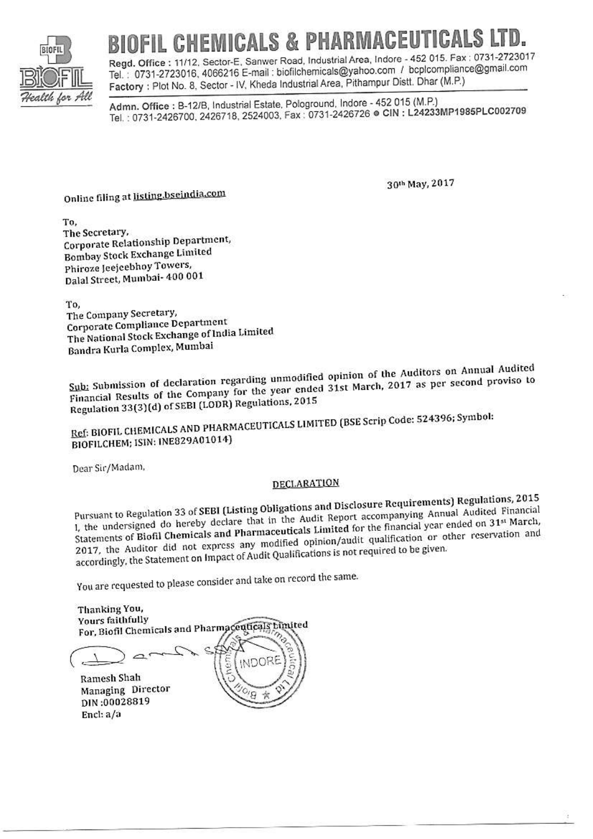

# BIOFIL CHEMICALS & PHARMACEUTICALS

Regd. Office: 11/12, Sector-E, Sanwer Road, Industrial Area, Indore - 452 015. Fax: 0731-2723017 Tel.: 0731-2723016, 4066216 E-mail: biofilchemicals@yahoo.com / bcplcompliance@gmail.com Factory: Plot No. 8, Sector - IV, Kheda Industrial Area, Pithampur Distt. Dhar (M.P.)

Admn. Office: B-12/B, Industrial Estate, Pologround, Indore - 452 015 (M.P.) Tel.: 0731-2426700, 2426718, 2524003, Fax: 0731-2426726 e CIN: L24233MP1985PLC002709

Online filing at listing.bseindia.com

30th May, 2017

To. The Secretary, Corporate Relationship Department, **Bombay Stock Exchange Limited** Phiroze Jeejeebhoy Towers, Dalal Street, Mumbai- 400 001

To.

The Company Secretary, Corporate Compliance Department The National Stock Exchange of India Limited Bandra Kurla Complex, Mumbai

Sub: Submission of declaration regarding unmodified opinion of the Auditors on Annual Audited Financial Results of the Company for the year ended 31st March, 2017 as per second proviso to Regulation 33(3)(d) of SEBI (LODR) Regulations, 2015

Ref: BIOFIL CHEMICALS AND PHARMACEUTICALS LIMITED (BSE Scrip Code: 524396; Symbol: BIOFILCHEM; ISIN: INE829A01014)

Dear Sir/Madam,

### **DECLARATION**

Pursuant to Regulation 33 of SEBI (Listing Obligations and Disclosure Requirements) Regulations, 2015 1, the undersigned do hereby declare that in the Audit Report accompanying Annual Audited Financial Statements of Biofil Chemicals and Pharmaceuticals Limited for the financial year ended on 31<sup>st</sup> March, 2017, the Auditor did not express any modified opinion/audit qualification or other reservation and accordingly, the Statement on Impact of Audit Qualifications is not required to be given.

You are requested to please consider and take on record the same.

Thanking You, Yours faithfully For, Biofil Chemicals and Pharmaceuticals bimited VDOR Ramesh Shah Managing Director DIN:00028819 Encl: a/a